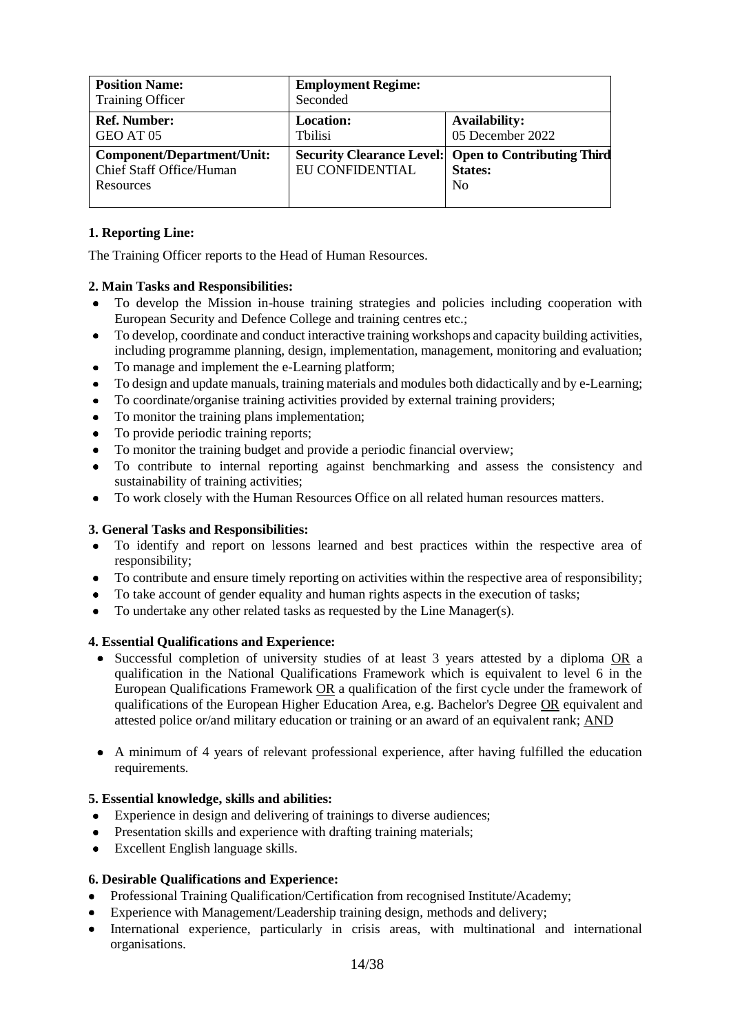| <b>Position Name:</b><br><b>Training Officer</b>                    | <b>Employment Regime:</b><br>Seconded |                                                                                                 |
|---------------------------------------------------------------------|---------------------------------------|-------------------------------------------------------------------------------------------------|
| <b>Ref. Number:</b><br>GEO AT 05                                    | <b>Location:</b><br><b>T</b> bilisi   | Availability:<br>05 December 2022                                                               |
| Component/Department/Unit:<br>Chief Staff Office/Human<br>Resources | EU CONFIDENTIAL                       | <b>Security Clearance Level: Open to Contributing Third</b><br><b>States:</b><br>N <sub>0</sub> |

## **1. Reporting Line:**

The Training Officer reports to the Head of Human Resources.

### **2. Main Tasks and Responsibilities:**

- To develop the Mission in-house training strategies and policies including cooperation with  $\bullet$ European Security and Defence College and training centres etc.;
- To develop, coordinate and conduct interactive training workshops and capacity building activities,  $\bullet$ including programme planning, design, implementation, management, monitoring and evaluation;
- $\bullet$ To manage and implement the e-Learning platform;
- To design and update manuals, training materials and modules both didactically and by e-Learning;  $\bullet$
- To coordinate/organise training activities provided by external training providers;
- To monitor the training plans implementation;
- To provide periodic training reports;  $\bullet$
- To monitor the training budget and provide a periodic financial overview;
- To contribute to internal reporting against benchmarking and assess the consistency and sustainability of training activities;
- To work closely with the Human Resources Office on all related human resources matters.  $\bullet$

#### **3. General Tasks and Responsibilities:**

- $\bullet$ To identify and report on lessons learned and best practices within the respective area of responsibility;
- To contribute and ensure timely reporting on activities within the respective area of responsibility;
- To take account of gender equality and human rights aspects in the execution of tasks;
- $\bullet$ To undertake any other related tasks as requested by the Line Manager(s).

#### **4. Essential Qualifications and Experience:**

- Successful completion of university studies of at least 3 years attested by a diploma OR a  $\bullet$ qualification in the National Qualifications Framework which is equivalent to level 6 in the European Qualifications Framework OR a qualification of the first cycle under the framework of qualifications of the European Higher Education Area, e.g. Bachelor's Degree OR equivalent and attested police or/and military education or training or an award of an equivalent rank; AND
- A minimum of 4 years of relevant professional experience, after having fulfilled the education requirements.

#### **5. Essential knowledge, skills and abilities:**

- Experience in design and delivering of trainings to diverse audiences;  $\bullet$
- Presentation skills and experience with drafting training materials;  $\bullet$
- Excellent English language skills.  $\bullet$

#### **6. Desirable Qualifications and Experience:**

- Professional Training Qualification/Certification from recognised Institute/Academy;
- Experience with Management/Leadership training design, methods and delivery;
- International experience, particularly in crisis areas, with multinational and international  $\bullet$ organisations.